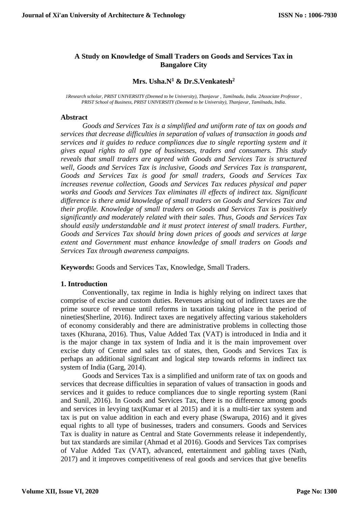## **A Study on Knowledge of Small Traders on Goods and Services Tax in Bangalore City**

#### **Mrs. Usha.N<sup>1</sup> & Dr.S.Venkatesh<sup>2</sup>**

*1Research scholar, PRIST UNIVERSITY (Deemed to be University), Thanjavur , Tamilnadu, India. 2Associate Professor , PRIST School of Business, PRIST UNIVERSITY (Deemed to be University), Thanjavur, Tamilnadu, India.* 

#### **Abstract**

*Goods and Services Tax is a simplified and uniform rate of tax on goods and services that decrease difficulties in separation of values of transaction in goods and services and it guides to reduce compliances due to single reporting system and it gives equal rights to all type of businesses, traders and consumers. This study reveals that small traders are agreed with Goods and Services Tax is structured well, Goods and Services Tax is inclusive, Goods and Services Tax is transparent, Goods and Services Tax is good for small traders, Goods and Services Tax increases revenue collection, Goods and Services Tax reduces physical and paper works and Goods and Services Tax eliminates ill effects of indirect tax. Significant difference is there amid knowledge of small traders on Goods and Services Tax and their profile. Knowledge of small traders on Goods and Services Tax* is *positively significantly and moderately related with their sales. Thus, Goods and Services Tax should easily understandable and it must protect interest of small traders. Further, Goods and Services Tax should bring down prices of goods and services at large extent and Government must enhance knowledge of small traders on Goods and Services Tax through awareness campaigns.*

**Keywords:** Goods and Services Tax, Knowledge, Small Traders.

#### **1. Introduction**

Conventionally, tax regime in India is highly relying on indirect taxes that comprise of excise and custom duties. Revenues arising out of indirect taxes are the prime source of revenue until reforms in taxation taking place in the period of nineties(Sherline, 2016). Indirect taxes are negatively affecting various stakeholders of economy considerably and there are administrative problems in collecting those taxes (Khurana, 2016). Thus, Value Added Tax (VAT) is introduced in India and it is the major change in tax system of India and it is the main improvement over excise duty of Centre and sales tax of states, then, Goods and Services Tax is perhaps an additional significant and logical step towards reforms in indirect tax system of India (Garg, 2014).

Goods and Services Tax is a simplified and uniform rate of tax on goods and services that decrease difficulties in separation of values of transaction in goods and services and it guides to reduce compliances due to single reporting system (Rani and Sunil, 2016). In Goods and Services Tax, there is no difference among goods and services in levying tax(Kumar et al 2015) and it is a multi-tier tax system and tax is put on value addition in each and every phase (Swarupa, 2016) and it gives equal rights to all type of businesses, traders and consumers. Goods and Services Tax is duality in nature as Central and State Governments release it independently, but tax standards are similar (Ahmad et al 2016). Goods and Services Tax comprises of Value Added Tax (VAT), advanced, entertainment and gabling taxes (Nath, 2017) and it improves competitiveness of real goods and services that give benefits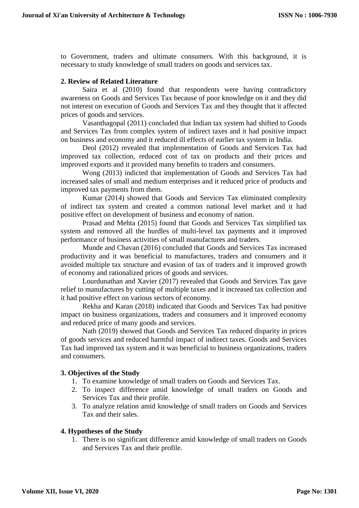to Government, traders and ultimate consumers. With this background, it is necessary to study knowledge of small traders on goods and services tax.

#### **2. Review of Related Literature**

Saira et al (2010) found that respondents were having contradictory awareness on Goods and Services Tax because of poor knowledge on it and they did not interest on execution of Goods and Services Tax and they thought that it affected prices of goods and services.

Vasanthagopal (2011) concluded that Indian tax system had shifted to Goods and Services Tax from complex system of indirect taxes and it had positive impact on business and economy and it reduced ill effects of earlier tax system in India.

Deol (2012) revealed that implementation of Goods and Services Tax had improved tax collection, reduced cost of tax on products and their prices and improved exports and it provided many benefits to traders and consumers.

Wong (2013) indicted that implementation of Goods and Services Tax had increased sales of small and medium enterprises and it reduced price of products and improved tax payments from them.

Kumar (2014) showed that Goods and Services Tax eliminated complexity of indirect tax system and created a common national level market and it had positive effect on development of business and economy of nation.

Prasad and Mehta (2015) found that Goods and Services Tax simplified tax system and removed all the hurdles of multi-level tax payments and it improved performance of business activities of small manufactures and traders.

Munde and Chavan (2016) concluded that Goods and Services Tax increased productivity and it was beneficial to manufactures, traders and consumers and it avoided multiple tax structure and evasion of tax of traders and it improved growth of economy and rationalized prices of goods and services.

Lourdunathan and Xavier (2017) revealed that Goods and Services Tax gave relief to manufactures by cutting of multiple taxes and it increased tax collection and it had positive effect on various sectors of economy.

Rekha and Karan (2018) indicated that Goods and Services Tax had positive impact on business organizations, traders and consumers and it improved economy and reduced price of many goods and services.

Nath (2019) showed that Goods and Services Tax reduced disparity in prices of goods services and reduced harmful impact of indirect taxes. Goods and Services Tax had improved tax system and it was beneficial to business organizations, traders and consumers.

#### **3. Objectives of the Study**

- 1. To examine knowledge of small traders on Goods and Services Tax.
- 2. To inspect difference amid knowledge of small traders on Goods and Services Tax and their profile.
- 3. To analyze relation amid knowledge of small traders on Goods and Services Tax and their sales.

## **4. Hypotheses of the Study**

1. There is no significant difference amid knowledge of small traders on Goods and Services Tax and their profile.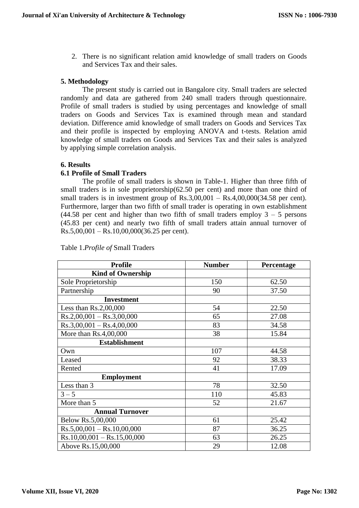2. There is no significant relation amid knowledge of small traders on Goods and Services Tax and their sales.

## **5. Methodology**

The present study is carried out in Bangalore city. Small traders are selected randomly and data are gathered from 240 small traders through questionnaire. Profile of small traders is studied by using percentages and knowledge of small traders on Goods and Services Tax is examined through mean and standard deviation. Difference amid knowledge of small traders on Goods and Services Tax and their profile is inspected by employing ANOVA and t-tests. Relation amid knowledge of small traders on Goods and Services Tax and their sales is analyzed by applying simple correlation analysis.

## **6. Results**

# **6.1 Profile of Small Traders**

The profile of small traders is shown in Table-1. Higher than three fifth of small traders is in sole proprietorship(62.50 per cent) and more than one third of small traders is in investment group of  $Rs.3,00,001 - Rs.4,00,000(34.58$  per cent). Furthermore, larger than two fifth of small trader is operating in own establishment  $(44.58$  per cent and higher than two fifth of small traders employ  $3 - 5$  persons (45.83 per cent) and nearly two fifth of small traders attain annual turnover of  $Rs.5,00,001 - Rs.10,00,000(36.25)$  per cent).

| <b>Profile</b>                | <b>Number</b> | Percentage |
|-------------------------------|---------------|------------|
| <b>Kind of Ownership</b>      |               |            |
| Sole Proprietorship           | 150           | 62.50      |
| Partnership                   | 90            | 37.50      |
| <b>Investment</b>             |               |            |
| Less than $Rs.2,00,000$       | 54            | 22.50      |
| $Rs.2,00,001 - Rs.3,00,000$   | 65            | 27.08      |
| $Rs.3,00,001 - Rs.4,00,000$   | 83            | 34.58      |
| More than Rs.4,00,000         | 38            | 15.84      |
| <b>Establishment</b>          |               |            |
| Own                           | 107           | 44.58      |
| Leased                        | 92            | 38.33      |
| Rented                        | 41            | 17.09      |
| <b>Employment</b>             |               |            |
| Less than 3                   | 78            | 32.50      |
| $3 - 5$                       | 110           | 45.83      |
| More than 5                   | 52            | 21.67      |
| <b>Annual Turnover</b>        |               |            |
| Below Rs.5,00,000             | 61            | 25.42      |
| $Rs.5,00,001 - Rs.10,00,000$  | 87            | 36.25      |
| $Rs.10,00,001 - Rs.15,00,000$ | 63            | 26.25      |
| Above Rs.15,00,000            | 29            | 12.08      |

Table 1.*Profile of* Small Traders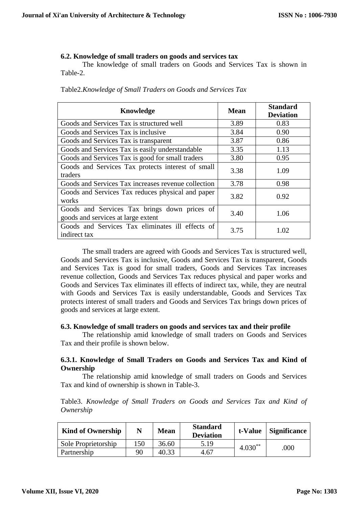## **6.2. Knowledge of small traders on goods and services tax**

The knowledge of small traders on Goods and Services Tax is shown in Table-2.

| Knowledge                                                                          | Mean | <b>Standard</b><br><b>Deviation</b> |
|------------------------------------------------------------------------------------|------|-------------------------------------|
| Goods and Services Tax is structured well                                          | 3.89 | 0.83                                |
| Goods and Services Tax is inclusive                                                | 3.84 | 0.90                                |
| Goods and Services Tax is transparent                                              | 3.87 | 0.86                                |
| Goods and Services Tax is easily understandable                                    | 3.35 | 1.13                                |
| Goods and Services Tax is good for small traders                                   | 3.80 | 0.95                                |
| Goods and Services Tax protects interest of small<br>traders                       | 3.38 | 1.09                                |
| Goods and Services Tax increases revenue collection                                | 3.78 | 0.98                                |
| Goods and Services Tax reduces physical and paper<br>works                         | 3.82 | 0.92                                |
| Goods and Services Tax brings down prices of<br>goods and services at large extent | 3.40 | 1.06                                |
| Goods and Services Tax eliminates ill effects of<br>indirect tax                   | 3.75 | 1.02                                |

Table2.*Knowledge of Small Traders on Goods and Services Tax*

The small traders are agreed with Goods and Services Tax is structured well, Goods and Services Tax is inclusive, Goods and Services Tax is transparent, Goods and Services Tax is good for small traders, Goods and Services Tax increases revenue collection, Goods and Services Tax reduces physical and paper works and Goods and Services Tax eliminates ill effects of indirect tax, while, they are neutral with Goods and Services Tax is easily understandable, Goods and Services Tax protects interest of small traders and Goods and Services Tax brings down prices of goods and services at large extent.

# **6.3. Knowledge of small traders on goods and services tax and their profile**

The relationship amid knowledge of small traders on Goods and Services Tax and their profile is shown below.

# **6.3.1. Knowledge of Small Traders on Goods and Services Tax and Kind of Ownership**

The relationship amid knowledge of small traders on Goods and Services Tax and kind of ownership is shown in Table-3.

Table3. *Knowledge of Small Traders on Goods and Services Tax and Kind of Ownership*

| <b>Kind of Ownership</b> |      | <b>Mean</b> | <b>Standard</b><br><b>Deviation</b> |            | t-Value Significance |
|--------------------------|------|-------------|-------------------------------------|------------|----------------------|
| Sole Proprietorship      | l 50 | 36.60       | 5.19                                | $4.030***$ | .000                 |
| Partnership              | 90   | 40.33       | 4.67                                |            |                      |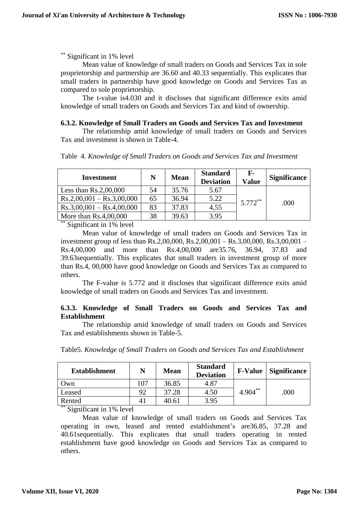\*\* Significant in 1% level

Mean value of knowledge of small traders on Goods and Services Tax in sole proprietorship and partnership are 36.60 and 40.33 sequentially. This explicates that small traders in partnership have good knowledge on Goods and Services Tax as compared to sole proprietorship.

The t-value is4.030 and it discloses that significant difference exits amid knowledge of small traders on Goods and Services Tax and kind of ownership.

## **6.3.2. Knowledge of Small Traders on Goods and Services Tax and Investment**

The relationship amid knowledge of small traders on Goods and Services Tax and investment is shown in Table-4.

| <b>Investment</b>           | N  | <b>Mean</b> | <b>Standard</b><br><b>Deviation</b> | $F-$<br><b>Value</b> | <b>Significance</b> |
|-----------------------------|----|-------------|-------------------------------------|----------------------|---------------------|
| Less than $Rs.2,00,000$     | 54 | 35.76       | 5.67                                |                      |                     |
| $Rs.2,00,001 - Rs.3,00,000$ | 65 | 36.94       | 5.22                                | $5.772***$           | .000                |
| $Rs.3,00,001 - Rs.4,00,000$ | 83 | 37.83       | 4,55                                |                      |                     |
| More than $Rs.4,00,000$     | 38 | 39.63       | 3.95                                |                      |                     |

\*\* Significant in 1% level

Mean value of knowledge of small traders on Goods and Services Tax in investment group of less than Rs.2,00,000, Rs.2,00,001 – Rs.3,00,000, Rs.3,00,001 – Rs.4,00,000 and more than Rs.4,00,000 are35.76, 36.94, 37.83 and 39.63sequentially. This explicates that small traders in investment group of more than Rs.4, 00,000 have good knowledge on Goods and Services Tax as compared to others.

The F-value is 5.772 and it discloses that significant difference exits amid knowledge of small traders on Goods and Services Tax and investment.

# **6.3.3. Knowledge of Small Traders on Goods and Services Tax and Establishment**

The relationship amid knowledge of small traders on Goods and Services Tax and establishments shown in Table-5.

|  |  |  | Table5. Knowledge of Small Traders on Goods and Services Tax and Establishment |
|--|--|--|--------------------------------------------------------------------------------|
|  |  |  |                                                                                |

| <b>Establishment</b> |     | <b>Mean</b> | <b>Standard</b><br><b>Deviation</b> |            | <b>F-Value</b> Significance |
|----------------------|-----|-------------|-------------------------------------|------------|-----------------------------|
| Own                  | 107 | 36.85       | 4.87                                |            |                             |
| Leased               | 92  | 37.28       | 4.50                                | $4.904***$ | .000                        |
| Rented               | 4   | 40.61       | 3.95                                |            |                             |

\*\* Significant in 1% level

Mean value of knowledge of small traders on Goods and Services Tax operating in own, leased and rented establishment's are36.85, 37.28 and 40.61sequentially. This explicates that small traders operating in rented establishment have good knowledge on Goods and Services Tax as compared to others.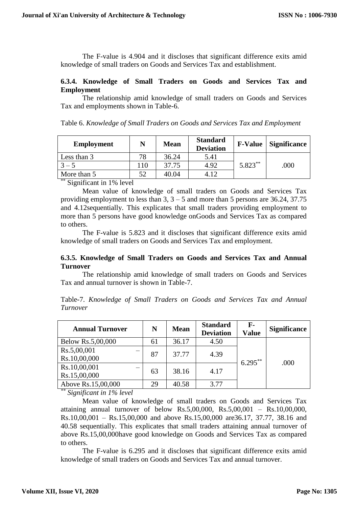The F-value is 4.904 and it discloses that significant difference exits amid knowledge of small traders on Goods and Services Tax and establishment.

## **6.3.4. Knowledge of Small Traders on Goods and Services Tax and Employment**

The relationship amid knowledge of small traders on Goods and Services Tax and employments shown in Table-6.

Table 6. *Knowledge of Small Traders on Goods and Services Tax and Employment*

| <b>Employment</b> |     | <b>Mean</b> | <b>Standard</b><br><b>Deviation</b> | $F-Value \mid$ | <b>Significance</b> |
|-------------------|-----|-------------|-------------------------------------|----------------|---------------------|
| Less than 3       | 78  | 36.24       | 5.41                                |                |                     |
| $3 - 5$           | 110 | 37.75       | 4.92                                | 5.823**        | .000                |
| More than 5       | 52  | 40.04       | 4.12                                |                |                     |

\*\* Significant in 1% level

Mean value of knowledge of small traders on Goods and Services Tax providing employment to less than  $3$ ,  $3 - 5$  and more than 5 persons are 36.24, 37.75 and 4.12sequentially. This explicates that small traders providing employment to more than 5 persons have good knowledge onGoods and Services Tax as compared to others.

The F-value is 5.823 and it discloses that significant difference exits amid knowledge of small traders on Goods and Services Tax and employment.

## **6.3.5. Knowledge of Small Traders on Goods and Services Tax and Annual Turnover**

The relationship amid knowledge of small traders on Goods and Services Tax and annual turnover is shown in Table-7.

Table-7. *Knowledge of Small Traders on Goods and Services Tax and Annual Turnover*

| <b>Annual Turnover</b>       | N  | <b>Mean</b> | <b>Standard</b><br><b>Deviation</b> | F-<br><b>Value</b> | <b>Significance</b> |
|------------------------------|----|-------------|-------------------------------------|--------------------|---------------------|
| Below Rs.5,00,000            | 61 | 36.17       | 4.50                                |                    |                     |
| Rs.5,00,001<br>Rs.10,00,000  | 87 | 37.77       | 4.39                                | $6.295***$         | .000                |
| Rs.10,00,001<br>Rs.15,00,000 | 63 | 38.16       | 4.17                                |                    |                     |
| Above Rs.15,00,000           | 29 | 40.58       | 3.77                                |                    |                     |

*\*\* Significant in 1% level*

Mean value of knowledge of small traders on Goods and Services Tax attaining annual turnover of below Rs.5,00,000, Rs.5,00,001 – Rs.10,00,000, Rs.10,00,001 – Rs.15,00,000 and above Rs.15,00,000 are36.17, 37.77, 38.16 and 40.58 sequentially. This explicates that small traders attaining annual turnover of above Rs.15,00,000have good knowledge on Goods and Services Tax as compared to others.

The F-value is 6.295 and it discloses that significant difference exits amid knowledge of small traders on Goods and Services Tax and annual turnover.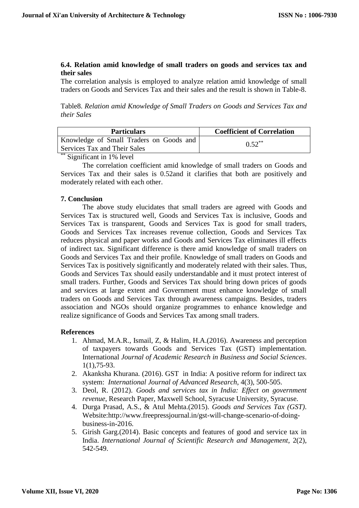# **6.4. Relation amid knowledge of small traders on goods and services tax and their sales**

The correlation analysis is employed to analyze relation amid knowledge of small traders on Goods and Services Tax and their sales and the result is shown in Table-8.

Table8. *Relation amid Knowledge of Small Traders on Goods and Services Tax and their Sales*

| <b>Coefficient of Correlation</b> |
|-----------------------------------|
| $0.52$ **                         |
|                                   |
|                                   |

\*\* Significant in 1% level

The correlation coefficient amid knowledge of small traders on Goods and Services Tax and their sales is 0.52and it clarifies that both are positively and moderately related with each other.

# **7. Conclusion**

The above study elucidates that small traders are agreed with Goods and Services Tax is structured well, Goods and Services Tax is inclusive, Goods and Services Tax is transparent, Goods and Services Tax is good for small traders, Goods and Services Tax increases revenue collection, Goods and Services Tax reduces physical and paper works and Goods and Services Tax eliminates ill effects of indirect tax. Significant difference is there amid knowledge of small traders on Goods and Services Tax and their profile. Knowledge of small traders on Goods and Services Tax is positively significantly and moderately related with their sales. Thus, Goods and Services Tax should easily understandable and it must protect interest of small traders. Further, Goods and Services Tax should bring down prices of goods and services at large extent and Government must enhance knowledge of small traders on Goods and Services Tax through awareness campaigns. Besides, traders association and NGOs should organize programmes to enhance knowledge and realize significance of Goods and Services Tax among small traders.

## **References**

- 1. Ahmad, M.A.R., Ismail, Z, & Halim, H.A.(2016). Awareness and perception of taxpayers towards Goods and Services Tax (GST) implementation. International *Journal of Academic Research in Business and Social Sciences*. 1(1),75-93.
- 2. Akanksha Khurana. (2016). GST in India: A positive reform for indirect tax system: *International Journal of Advanced Research*, 4(3), 500-505.
- 3. Deol, R. (2012). *Goods and services tax in India: Effect on government revenue*, Research Paper, Maxwell School, Syracuse University, Syracuse.
- 4. Durga Prasad, A.S., & Atul Mehta.(2015). *Goods and Services Tax (GST)*. Website[:http://www.freepressjournal.in/gst-will-change-scenario-of-doing](http://www.freepressjournal.in/gst-will-change-scenario-of-doing-business-in-2016)[business-in-2016.](http://www.freepressjournal.in/gst-will-change-scenario-of-doing-business-in-2016)
- 5. Girish Garg.(2014). Basic concepts and features of good and service tax in India. *International Journal of Scientific Research and Management*, 2(2), 542-549.